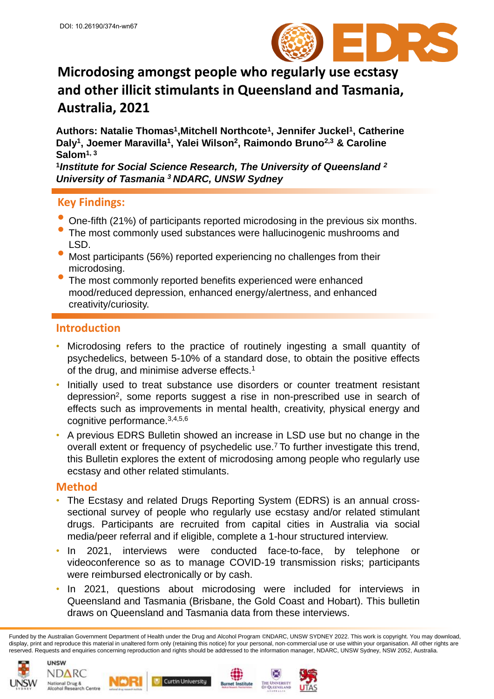

# **Microdosing amongst people who regularly use ecstasy and other illicit stimulants in Queensland and Tasmania, Australia, 2021**

Authors: Natalie Thomas<sup>1</sup>, Mitchell Northcote<sup>1</sup>, Jennifer Juckel<sup>1</sup>, Catherine **Daly<sup>1</sup> , Joemer Maravilla<sup>1</sup> , Yalei Wilson<sup>2</sup> , Raimondo Bruno2,3 & Caroline Salom1, 3**

**1** *Institute for Social Science Research, The University of Queensland <sup>2</sup> University of Tasmania <sup>3</sup>NDARC, UNSW Sydney*

### **Key Findings:**

- One-fifth (21%) of participants reported microdosing in the previous six months.
- The most commonly used substances were hallucinogenic mushrooms and LSD.
- Most participants (56%) reported experiencing no challenges from their microdosing.
- The most commonly reported benefits experienced were enhanced mood/reduced depression, enhanced energy/alertness, and enhanced creativity/curiosity.

#### **Introduction**

- Microdosing refers to the practice of routinely ingesting a small quantity of psychedelics, between 5-10% of a standard dose, to obtain the positive effects of the drug, and minimise adverse effects. 1
- Initially used to treat substance use disorders or counter treatment resistant depression<sup>2</sup>, some reports suggest a rise in non-prescribed use in search of effects such as improvements in mental health, creativity, physical energy and cognitive performance. 3,4,5,6
- A previous EDRS Bulletin showed an increase in LSD use but no change in the overall extent or frequency of psychedelic use. <sup>7</sup> To further investigate this trend, this Bulletin explores the extent of microdosing among people who regularly use ecstasy and other related stimulants.

#### **Method**

- The Ecstasy and related Drugs Reporting System (EDRS) is an annual crosssectional survey of people who regularly use ecstasy and/or related stimulant drugs. Participants are recruited from capital cities in Australia via social media/peer referral and if eligible, complete a 1-hour structured interview.
- In 2021, interviews were conducted face-to-face, by telephone or videoconference so as to manage COVID-19 transmission risks; participants were reimbursed electronically or by cash.
- In 2021, questions about microdosing were included for interviews in Queensland and Tasmania (Brisbane, the Gold Coast and Hobart). This bulletin draws on Queensland and Tasmania data from these interviews.

Funded by the Australian Government Department of Health under the Drug and Alcohol Program ©NDARC, UNSW SYDNEY 2022. This work is copyright. You may download, display, print and reproduce this material in unaltered form only (retaining this notice) for your personal, non-commercial use or use within your organisation. All other rights are reserved. Requests and enquiries concerning reproduction and rights should be addressed to the information manager, NDARC, UNSW Sydney, NSW 2052, Australia.

net Institute









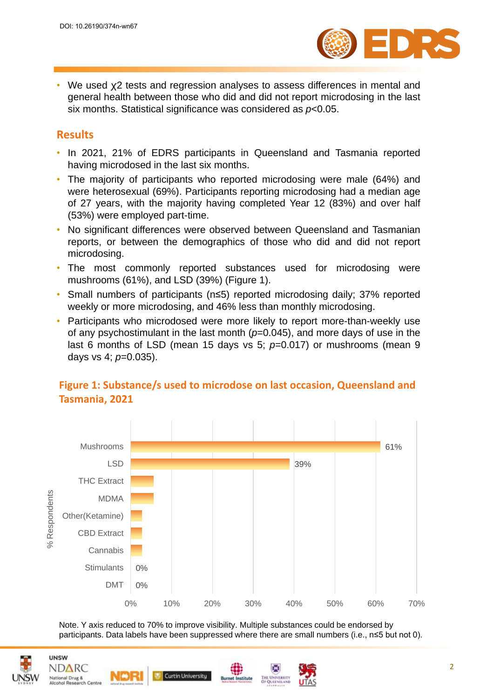

• We used ꭕ2 tests and regression analyses to assess differences in mental and general health between those who did and did not report microdosing in the last six months. Statistical significance was considered as *p*<0.05.

### **Results**

- In 2021, 21% of EDRS participants in Queensland and Tasmania reported having microdosed in the last six months.
- The majority of participants who reported microdosing were male (64%) and were heterosexual (69%). Participants reporting microdosing had a median age of 27 years, with the majority having completed Year 12 (83%) and over half (53%) were employed part-time.
- No significant differences were observed between Queensland and Tasmanian reports, or between the demographics of those who did and did not report microdosing.
- The most commonly reported substances used for microdosing were mushrooms (61%), and LSD (39%) (Figure 1).
- Small numbers of participants (n≤5) reported microdosing daily; 37% reported weekly or more microdosing, and 46% less than monthly microdosing.
- Participants who microdosed were more likely to report more-than-weekly use of any psychostimulant in the last month  $(p=0.045)$ , and more days of use in the last 6 months of LSD (mean 15 days vs 5; *p*=0.017) or mushrooms (mean 9 days vs 4; *p*=0.035).



# **Figure 1: Substance/s used to microdose on last occasion, Queensland and Tasmania, 2021**

Note. Y axis reduced to 70% to improve visibility. Multiple substances could be endorsed by participants. Data labels have been suppressed where there are small numbers (i.e., n≤5 but not 0).



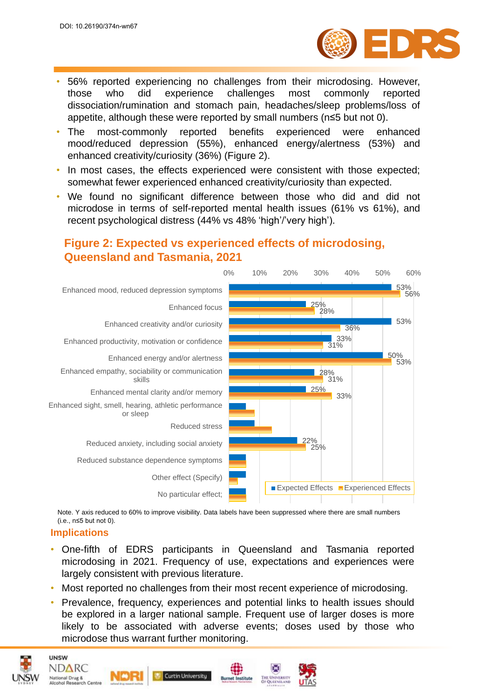

- 56% reported experiencing no challenges from their microdosing. However, those who did experience challenges most commonly reported dissociation/rumination and stomach pain, headaches/sleep problems/loss of appetite, although these were reported by small numbers (n≤5 but not 0).
- The most-commonly reported benefits experienced were enhanced mood/reduced depression (55%), enhanced energy/alertness (53%) and enhanced creativity/curiosity (36%) (Figure 2).
- In most cases, the effects experienced were consistent with those expected; somewhat fewer experienced enhanced creativity/curiosity than expected.
- We found no significant difference between those who did and did not microdose in terms of self-reported mental health issues (61% vs 61%), and recent psychological distress (44% vs 48% 'high'/'very high').

# **Figure 2: Expected vs experienced effects of microdosing, Queensland and Tasmania, 2021**



Note. Y axis reduced to 60% to improve visibility. Data labels have been suppressed where there are small numbers (i.e., n≤5 but not 0).

#### **Implications**

**UNSW** NDARC

**National Drug &<br>Alcohol Research Centre** 

- One-fifth of EDRS participants in Queensland and Tasmania reported microdosing in 2021. Frequency of use, expectations and experiences were largely consistent with previous literature.
- Most reported no challenges from their most recent experience of microdosing.
- Prevalence, frequency, experiences and potential links to health issues should be explored in a larger national sample. Frequent use of larger doses is more likely to be associated with adverse events; doses used by those who microdose thus warrant further monitoring.

**Curtin University**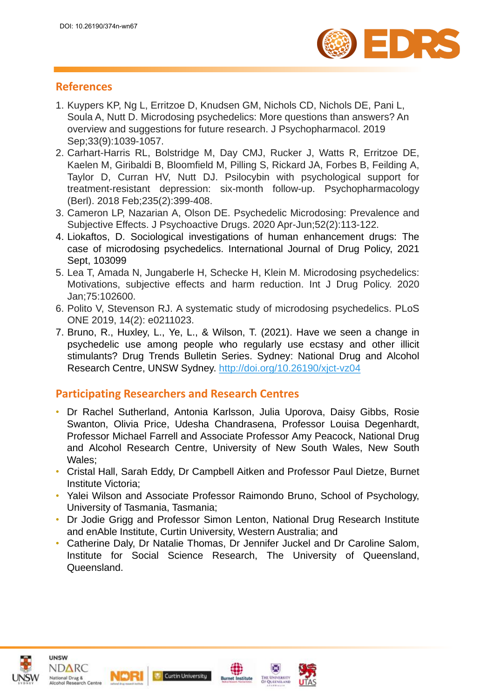

# **References**

- 1. Kuypers KP, Ng L, Erritzoe D, Knudsen GM, Nichols CD, Nichols DE, Pani L, Soula A, Nutt D. Microdosing psychedelics: More questions than answers? An overview and suggestions for future research. J Psychopharmacol. 2019 Sep;33(9):1039-1057.
- 2. Carhart-Harris RL, Bolstridge M, Day CMJ, Rucker J, Watts R, Erritzoe DE, Kaelen M, Giribaldi B, Bloomfield M, Pilling S, Rickard JA, Forbes B, Feilding A, Taylor D, Curran HV, Nutt DJ. Psilocybin with psychological support for treatment-resistant depression: six-month follow-up. Psychopharmacology (Berl). 2018 Feb;235(2):399-408.
- 3. Cameron LP, Nazarian A, Olson DE. Psychedelic Microdosing: Prevalence and Subjective Effects. J Psychoactive Drugs. 2020 Apr-Jun;52(2):113-122.
- 4. Liokaftos, D. Sociological investigations of human enhancement drugs: The case of microdosing psychedelics. International Journal of Drug Policy, 2021 Sept, 103099
- 5. Lea T, Amada N, Jungaberle H, Schecke H, Klein M. Microdosing psychedelics: Motivations, subjective effects and harm reduction. Int J Drug Policy. 2020 Jan;75:102600.
- 6. Polito V, Stevenson RJ. A systematic study of microdosing psychedelics. PLoS ONE 2019, 14(2): e0211023.
- 7. Bruno, R., Huxley, L., Ye, L., & Wilson, T. (2021). Have we seen a change in psychedelic use among people who regularly use ecstasy and other illicit stimulants? Drug Trends Bulletin Series. Sydney: National Drug and Alcohol Research Centre, UNSW Sydney. <http://doi.org/10.26190/xjct-vz04>

### **Participating Researchers and Research Centres**

- Dr Rachel Sutherland, Antonia Karlsson, Julia Uporova, Daisy Gibbs, Rosie Swanton, Olivia Price, Udesha Chandrasena, Professor Louisa Degenhardt, Professor Michael Farrell and Associate Professor Amy Peacock, National Drug and Alcohol Research Centre, University of New South Wales, New South Wales;
- Cristal Hall, Sarah Eddy, Dr Campbell Aitken and Professor Paul Dietze, Burnet Institute Victoria;
- Yalei Wilson and Associate Professor Raimondo Bruno, School of Psychology, University of Tasmania, Tasmania;
- Dr Jodie Grigg and Professor Simon Lenton, National Drug Research Institute and enAble Institute, Curtin University, Western Australia; and
- Catherine Daly, Dr Natalie Thomas, Dr Jennifer Juckel and Dr Caroline Salom, Institute for Social Science Research, The University of Queensland, Queensland.